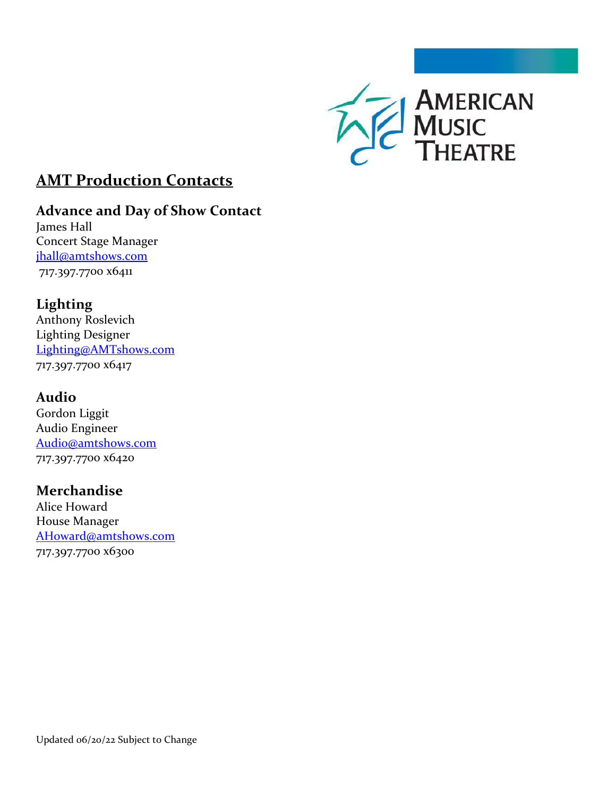

# **AMT Production Contacts**

# **Advance and Day of Show Contact**

James Hall Concert Stage Manager [jhall@amtshows.com](mailto:jhall@amtshows.com) 717.397.7700 x6411

# **Lighting**

Anthony Roslevich Lighting Designer [Lighting@AMTshows.com](mailto:Lighting@AMTshows.com) 717.397.7700 x6417

## **Audio**

Gordon Liggit Audio Engineer [Audio@amtshows.com](mailto:Audio@amtshows.com) 717.397.7700 x6420

## **Merchandise**

Alice Howard House Manager [AHoward@amtshows.com](mailto:AHoward@amtshows.com) 717.397.7700 x6300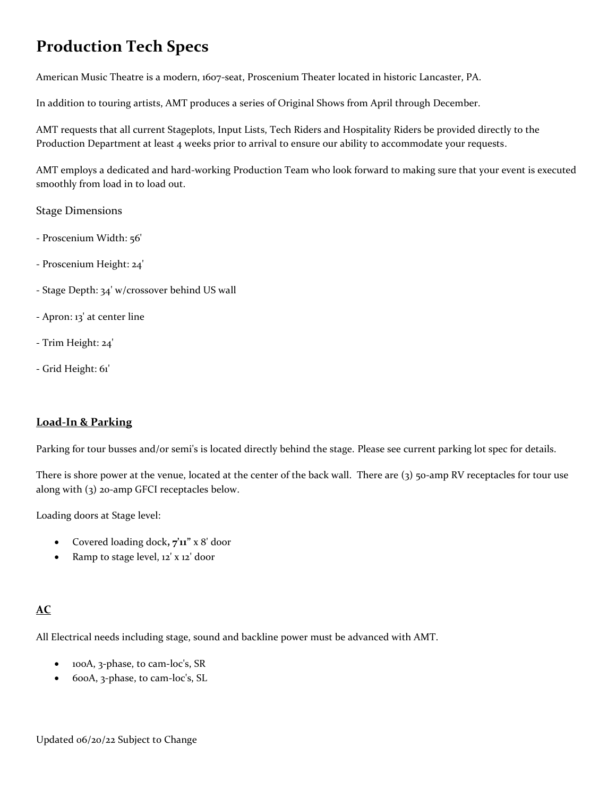# **Production Tech Specs**

American Music Theatre is a modern, 1607-seat, Proscenium Theater located in historic Lancaster, PA.

In addition to touring artists, AMT produces a series of Original Shows from April through December.

AMT requests that all current Stageplots, Input Lists, Tech Riders and Hospitality Riders be provided directly to the Production Department at least 4 weeks prior to arrival to ensure our ability to accommodate your requests.

AMT employs a dedicated and hard-working Production Team who look forward to making sure that your event is executed smoothly from load in to load out.

#### Stage Dimensions

- Proscenium Width: 56'
- Proscenium Height: 24'
- Stage Depth: 34' w/crossover behind US wall
- Apron: 13' at center line
- Trim Height: 24'
- Grid Height: 61'

### **Load-In & Parking**

Parking for tour busses and/or semi's is located directly behind the stage. Please see current parking lot spec for details.

There is shore power at the venue, located at the center of the back wall. There are (3) 50-amp RV receptacles for tour use along with (3) 20-amp GFCI receptacles below.

Loading doors at Stage level:

- Covered loading dock**, 7'11"** x 8' door
- Ramp to stage level, 12' x 12' door

#### **AC**

All Electrical needs including stage, sound and backline power must be advanced with AMT.

- 100A, 3-phase, to cam-loc's, SR
- 600A, 3-phase, to cam-loc's, SL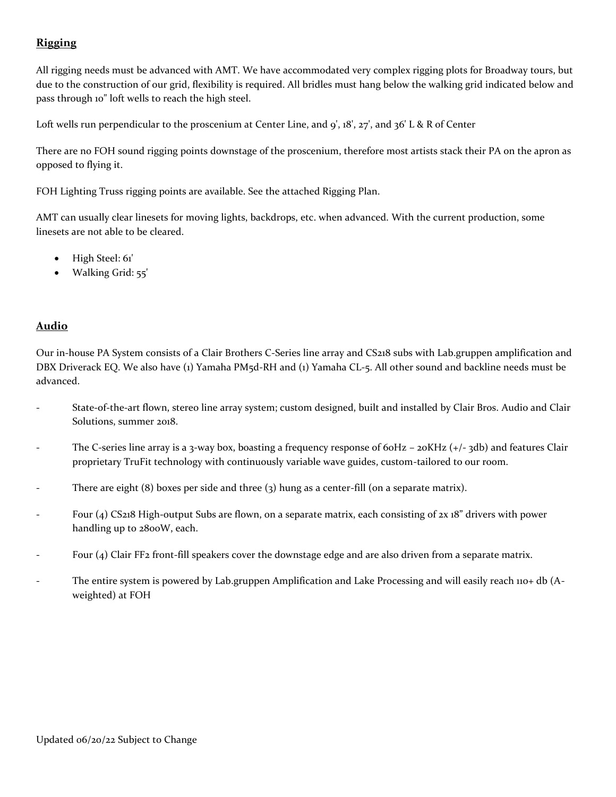### **Rigging**

All rigging needs must be advanced with AMT. We have accommodated very complex rigging plots for Broadway tours, but due to the construction of our grid, flexibility is required. All bridles must hang below the walking grid indicated below and pass through 10" loft wells to reach the high steel.

Loft wells run perpendicular to the proscenium at Center Line, and 9', 18', 27', and 36' L & R of Center

There are no FOH sound rigging points downstage of the proscenium, therefore most artists stack their PA on the apron as opposed to flying it.

FOH Lighting Truss rigging points are available. See the attached Rigging Plan.

AMT can usually clear linesets for moving lights, backdrops, etc. when advanced. With the current production, some linesets are not able to be cleared.

- High Steel: 61'
- Walking Grid: 55'

#### **Audio**

Our in-house PA System consists of a Clair Brothers C-Series line array and CS218 subs with Lab.gruppen amplification and DBX Driverack EQ. We also have (1) Yamaha PM5d-RH and (1) Yamaha CL-5. All other sound and backline needs must be advanced.

- State-of-the-art flown, stereo line array system; custom designed, built and installed by Clair Bros. Audio and Clair Solutions, summer 2018.
- The C-series line array is a 3-way box, boasting a frequency response of 60Hz 20KHz (+/-3db) and features Clair proprietary TruFit technology with continuously variable wave guides, custom-tailored to our room.
- There are eight  $(8)$  boxes per side and three  $(3)$  hung as a center-fill (on a separate matrix).
- Four (4) CS218 High-output Subs are flown, on a separate matrix, each consisting of 2x 18" drivers with power handling up to 2800W, each.
- Four (4) Clair FF2 front-fill speakers cover the downstage edge and are also driven from a separate matrix.
- The entire system is powered by Lab.gruppen Amplification and Lake Processing and will easily reach 110+ db (Aweighted) at FOH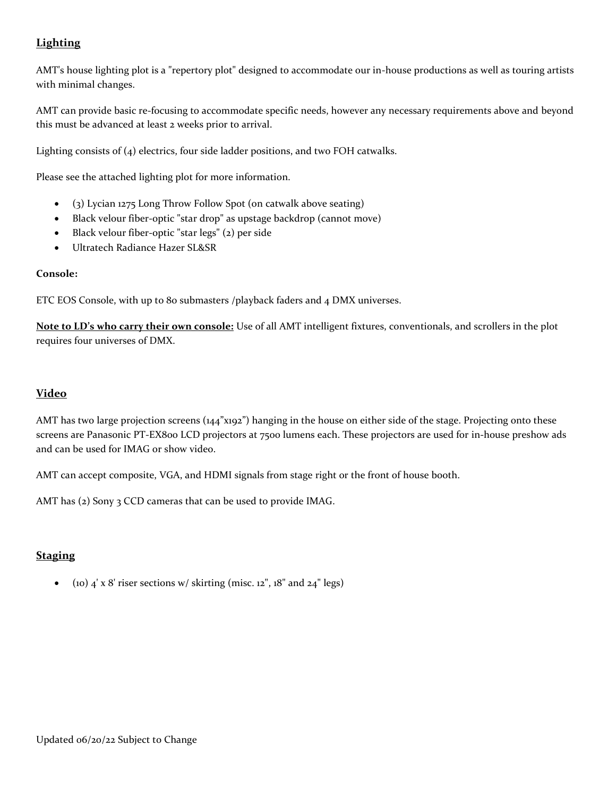### **Lighting**

AMT's house lighting plot is a "repertory plot" designed to accommodate our in-house productions as well as touring artists with minimal changes.

AMT can provide basic re-focusing to accommodate specific needs, however any necessary requirements above and beyond this must be advanced at least 2 weeks prior to arrival.

Lighting consists of  $(4)$  electrics, four side ladder positions, and two FOH catwalks.

Please see the attached lighting plot for more information.

- (3) Lycian 1275 Long Throw Follow Spot (on catwalk above seating)
- Black velour fiber-optic "star drop" as upstage backdrop (cannot move)
- Black velour fiber-optic "star legs" (2) per side
- Ultratech Radiance Hazer SL&SR

#### **Console:**

ETC EOS Console, with up to 80 submasters /playback faders and 4 DMX universes.

**Note to LD's who carry their own console:** Use of all AMT intelligent fixtures, conventionals, and scrollers in the plot requires four universes of DMX.

#### **Video**

AMT has two large projection screens (144"x192") hanging in the house on either side of the stage. Projecting onto these screens are Panasonic PT-EX800 LCD projectors at 7500 lumens each. These projectors are used for in-house preshow ads and can be used for IMAG or show video.

AMT can accept composite, VGA, and HDMI signals from stage right or the front of house booth.

AMT has (2) Sony 3 CCD cameras that can be used to provide IMAG.

#### **Staging**

• (10)  $4' \times 8'$  riser sections w/ skirting (misc. 12", 18" and 24" legs)